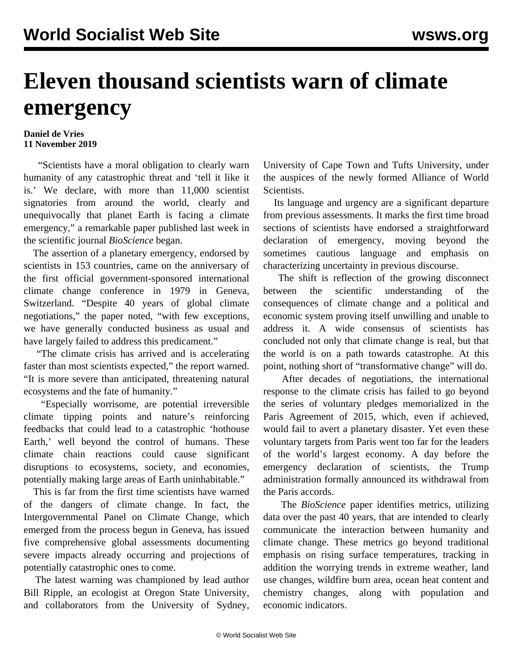## **Eleven thousand scientists warn of climate emergency**

## **Daniel de Vries 11 November 2019**

 "Scientists have a moral obligation to clearly warn humanity of any catastrophic threat and 'tell it like it is.' We declare, with more than 11,000 scientist signatories from around the world, clearly and unequivocally that planet Earth is facing a climate emergency," a remarkable paper published last week in the scientific journal *BioScience* began.

 The assertion of a planetary emergency, endorsed by scientists in 153 countries, came on the anniversary of the first official government-sponsored international climate change conference in 1979 in Geneva, Switzerland. "Despite 40 years of global climate negotiations," the paper noted, "with few exceptions, we have generally conducted business as usual and have largely failed to address this predicament."

 "The climate crisis has arrived and is accelerating faster than most scientists expected," the report warned. "It is more severe than anticipated, threatening natural ecosystems and the fate of humanity."

 "Especially worrisome, are potential irreversible climate tipping points and nature's reinforcing feedbacks that could lead to a catastrophic 'hothouse Earth,' well beyond the control of humans. These climate chain reactions could cause significant disruptions to ecosystems, society, and economies, potentially making large areas of Earth uninhabitable."

 This is far from the first time scientists have warned of the dangers of climate change. In fact, the Intergovernmental Panel on Climate Change, which emerged from the process begun in Geneva, has issued five comprehensive global assessments documenting severe impacts already occurring and projections of potentially catastrophic ones to come.

 The latest warning was championed by lead author Bill Ripple, an ecologist at Oregon State University, and collaborators from the University of Sydney, University of Cape Town and Tufts University, under the auspices of the newly formed Alliance of World Scientists.

 Its language and urgency are a significant departure from previous assessments. It marks the first time broad sections of scientists have endorsed a straightforward declaration of emergency, moving beyond the sometimes cautious language and emphasis on characterizing uncertainty in previous discourse.

 The shift is reflection of the growing disconnect between the scientific understanding of the consequences of climate change and a political and economic system proving itself unwilling and unable to address it. A wide consensus of scientists has concluded not only that climate change is real, but that the world is on a path towards catastrophe. At this point, nothing short of "transformative change" will do.

 After decades of negotiations, the international response to the climate crisis has failed to go beyond the series of voluntary pledges memorialized in the Paris Agreement of 2015, which, even if achieved, would fail to avert a planetary disaster. Yet even these voluntary targets from Paris went too far for the leaders of the world's largest economy. A day before the emergency declaration of scientists, the Trump administration formally announced its withdrawal from the Paris accords.

 The *BioScience* paper identifies metrics, utilizing data over the past 40 years, that are intended to clearly communicate the interaction between humanity and climate change. These metrics go beyond traditional emphasis on rising surface temperatures, tracking in addition the worrying trends in extreme weather, land use changes, wildfire burn area, ocean heat content and chemistry changes, along with population and economic indicators.